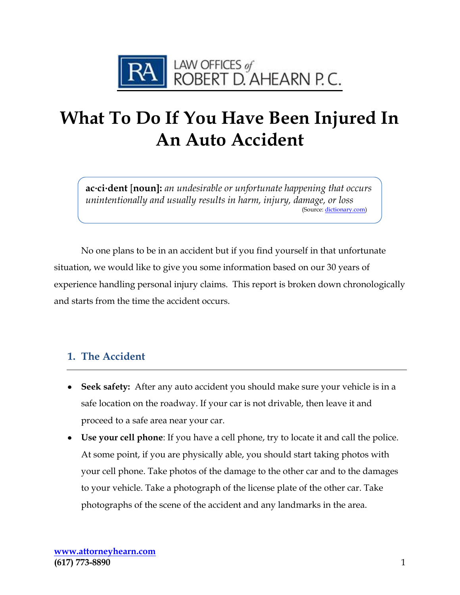

# **What To Do If You Have Been Injured In An Auto Accident**

**ac·ci·dent** [**noun]:** *an undesirable or unfortunate happening that occurs unintentionally and usually results in harm, injury, damage, or loss* (Source[: dictionary.com\)](https://www.dictionary.com/browse/accident)

No one plans to be in an accident but if you find yourself in that unfortunate situation, we would like to give you some information based on our 30 years of experience handling personal injury claims. This report is broken down chronologically and starts from the time the accident occurs.

#### **1. The Accident**

- **Seek safety:** After any auto accident you should make sure your vehicle is in a safe location on the roadway. If your car is not drivable, then leave it and proceed to a safe area near your car.
- **Use your cell phone**: If you have a cell phone, try to locate it and call the police. At some point, if you are physically able, you should start taking photos with your cell phone. Take photos of the damage to the other car and to the damages to your vehicle. Take a photograph of the license plate of the other car. Take photographs of the scene of the accident and any landmarks in the area.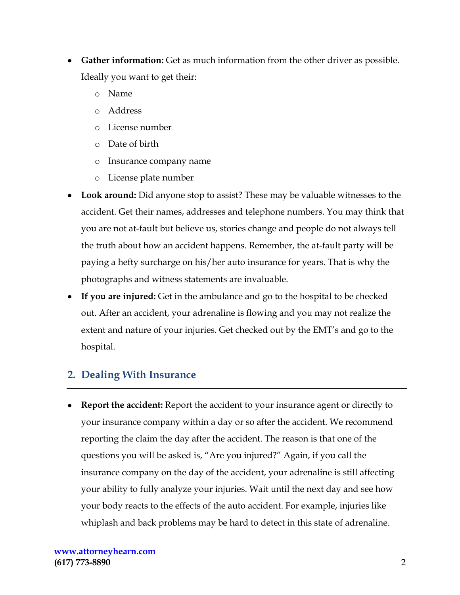- **Gather information:** Get as much information from the other driver as possible. Ideally you want to get their:
	- o Name
	- o Address
	- o License number
	- o Date of birth
	- o Insurance company name
	- o License plate number
- **Look around:** Did anyone stop to assist? These may be valuable witnesses to the accident. Get their names, addresses and telephone numbers. You may think that you are not at-fault but believe us, stories change and people do not always tell the truth about how an accident happens. Remember, the at-fault party will be paying a hefty surcharge on his/her auto insurance for years. That is why the photographs and witness statements are invaluable.
- **If you are injured:** Get in the ambulance and go to the hospital to be checked out. After an accident, your adrenaline is flowing and you may not realize the extent and nature of your injuries. Get checked out by the EMT's and go to the hospital.

#### **2. Dealing With Insurance**

**Report the accident:** Report the accident to your insurance agent or directly to your insurance company within a day or so after the accident. We recommend reporting the claim the day after the accident. The reason is that one of the questions you will be asked is, "Are you injured?" Again, if you call the insurance company on the day of the accident, your adrenaline is still affecting your ability to fully analyze your injuries. Wait until the next day and see how your body reacts to the effects of the auto accident. For example, injuries like whiplash and back problems may be hard to detect in this state of adrenaline.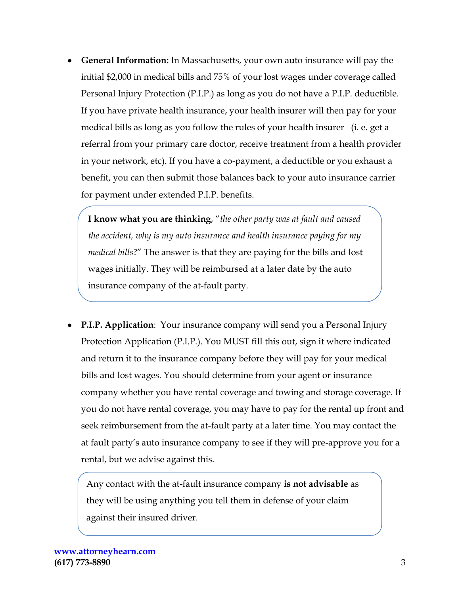**General Information:** In Massachusetts, your own auto insurance will pay the initial \$2,000 in medical bills and 75% of your lost wages under coverage called Personal Injury Protection (P.I.P.) as long as you do not have a P.I.P. deductible. If you have private health insurance, your health insurer will then pay for your medical bills as long as you follow the rules of your health insurer (i. e. get a referral from your primary care doctor, receive treatment from a health provider in your network, etc). If you have a co-payment, a deductible or you exhaust a benefit, you can then submit those balances back to your auto insurance carrier for payment under extended P.I.P. benefits.

**I know what you are thinking**, "*the other party was at fault and caused the accident, why is my auto insurance and health insurance paying for my medical bills*?" The answer is that they are paying for the bills and lost wages initially. They will be reimbursed at a later date by the auto insurance company of the at-fault party.

**P.I.P. Application**: Your insurance company will send you a Personal Injury Protection Application (P.I.P.). You MUST fill this out, sign it where indicated and return it to the insurance company before they will pay for your medical bills and lost wages. You should determine from your agent or insurance company whether you have rental coverage and towing and storage coverage. If you do not have rental coverage, you may have to pay for the rental up front and seek reimbursement from the at-fault party at a later time. You may contact the at fault party's auto insurance company to see if they will pre-approve you for a rental, but we advise against this.

Any contact with the at-fault insurance company **is not advisable** as they will be using anything you tell them in defense of your claim against their insured driver.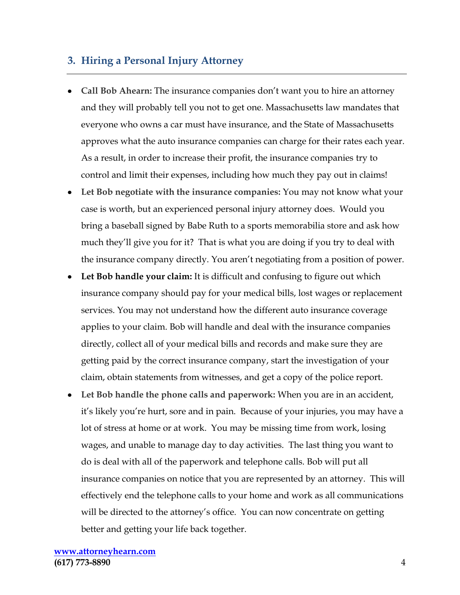#### **3. Hiring a Personal Injury Attorney**

- **Call Bob Ahearn:** The insurance companies don't want you to hire an attorney and they will probably tell you not to get one. Massachusetts law mandates that everyone who owns a car must have insurance, and the State of Massachusetts approves what the auto insurance companies can charge for their rates each year. As a result, in order to increase their profit, the insurance companies try to control and limit their expenses, including how much they pay out in claims!
- **Let Bob negotiate with the insurance companies:** You may not know what your case is worth, but an experienced personal injury attorney does. Would you bring a baseball signed by Babe Ruth to a sports memorabilia store and ask how much they'll give you for it? That is what you are doing if you try to deal with the insurance company directly. You aren't negotiating from a position of power.
- **Let Bob handle your claim:** It is difficult and confusing to figure out which insurance company should pay for your medical bills, lost wages or replacement services. You may not understand how the different auto insurance coverage applies to your claim. Bob will handle and deal with the insurance companies directly, collect all of your medical bills and records and make sure they are getting paid by the correct insurance company, start the investigation of your claim, obtain statements from witnesses, and get a copy of the police report.
- **Let Bob handle the phone calls and paperwork:** When you are in an accident, it's likely you're hurt, sore and in pain. Because of your injuries, you may have a lot of stress at home or at work. You may be missing time from work, losing wages, and unable to manage day to day activities. The last thing you want to do is deal with all of the paperwork and telephone calls. Bob will put all insurance companies on notice that you are represented by an attorney. This will effectively end the telephone calls to your home and work as all communications will be directed to the attorney's office. You can now concentrate on getting better and getting your life back together.